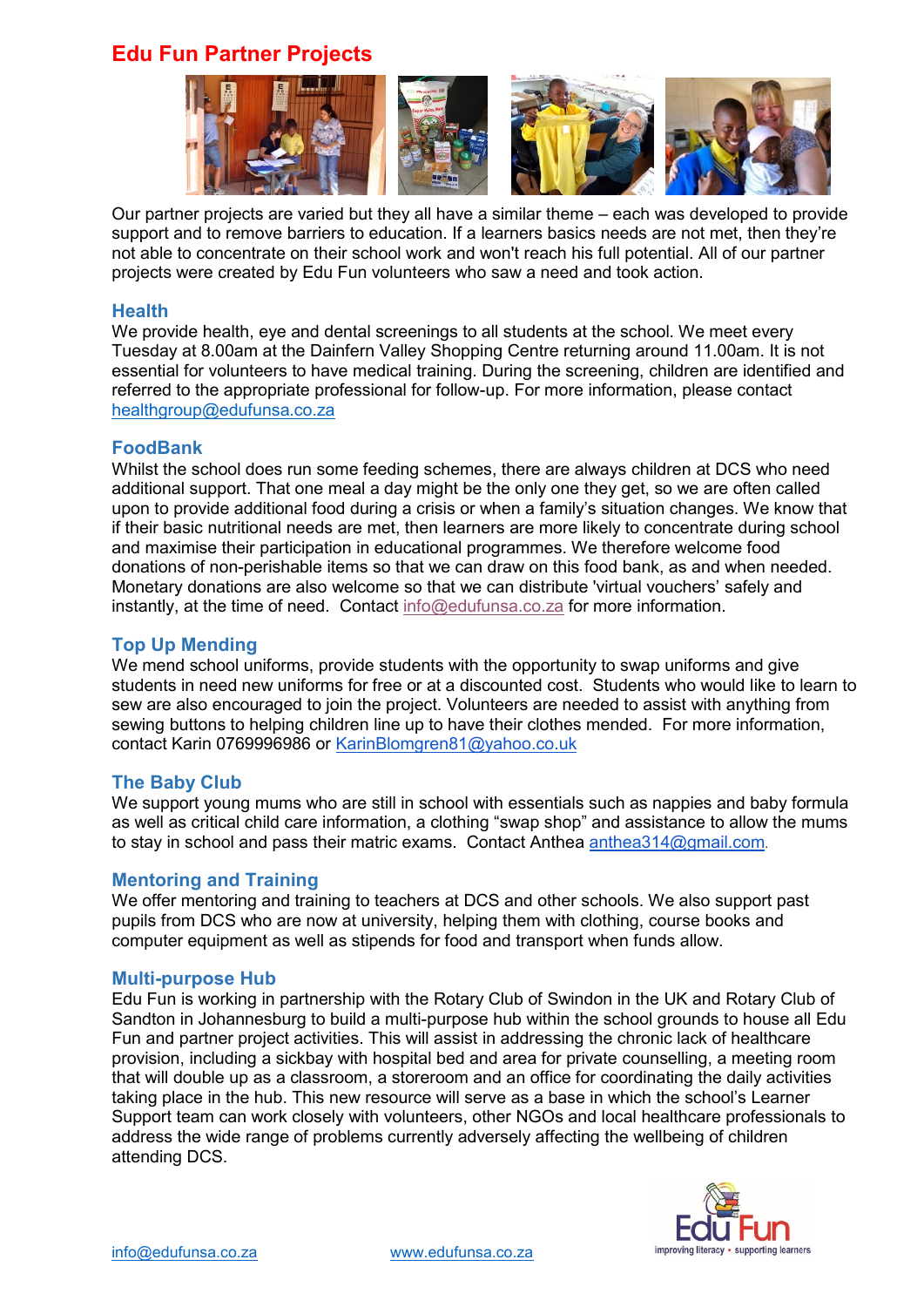## **Edu Fun Partner Projects**



Our partner projects are varied but they all have a similar theme – each was developed to provide support and to remove barriers to education. If a learners basics needs are not met, then they're not able to concentrate on their school work and won't reach his full potential. All of our partner projects were created by Edu Fun volunteers who saw a need and took action.

#### **Health**

We provide health, eye and dental screenings to all students at the school. We meet every Tuesday at 8.00am at the Dainfern Valley Shopping Centre returning around 11.00am. It is not essential for volunteers to have medical training. During the screening, children are identified and referred to the appropriate professional for follow-up. For more information, please contact [healthgroup@edufunsa.co.za](mailto:healthgroup@edufunsa.co.za)

#### **FoodBank**

Whilst the school does run some feeding schemes, there are always children at DCS who need additional support. That one meal a day might be the only one they get, so we are often called upon to provide additional food during a crisis or when a family's situation changes. We know that if their basic nutritional needs are met, then learners are more likely to concentrate during school and maximise their participation in educational programmes. We therefore welcome food donations of non-perishable items so that we can draw on this food bank, as and when needed. Monetary donations are also welcome so that we can distribute 'virtual vouchers' safely and instantly, at the time of need. Contact [info@edufunsa.co.za](mailto:info@edufunsa.co.za) for more information.

#### **Top Up Mending**

We mend school uniforms, provide students with the opportunity to swap uniforms and give students in need new uniforms for free or at a discounted cost. Students who would like to learn to sew are also encouraged to join the project. Volunteers are needed to assist with anything from sewing buttons to helping children line up to have their clothes mended. For more information, contact Karin 0769996986 or [KarinBlomgren81@yahoo.co.uk](mailto:KarinBlomgren81@yahoo.co.uk)

#### **The Baby Club**

We support young mums who are still in school with essentials such as nappies and baby formula as well as critical child care information, a clothing "swap shop" and assistance to allow the mums to stay in school and pass their matric exams. Contact Anthea [anthea314@gmail.com](mailto:anthea314@gmail.com).

#### **Mentoring and Training**

We offer mentoring and training to teachers at DCS and other schools. We also support past pupils from DCS who are now at university, helping them with clothing, course books and computer equipment as well as stipends for food and transport when funds allow.

#### **Multi-purpose Hub**

Edu Fun is working in partnership with the Rotary Club of Swindon in the UK and Rotary Club of Sandton in Johannesburg to build a multi-purpose hub within the school grounds to house all Edu Fun and partner project activities. This will assist in addressing the chronic lack of healthcare provision, including a sickbay with hospital bed and area for private counselling, a meeting room that will double up as a classroom, a storeroom and an office for coordinating the daily activities taking place in the hub. This new resource will serve as a base in which the school's Learner Support team can work closely with volunteers, other NGOs and local healthcare professionals to address the wide range of problems currently adversely affecting the wellbeing of children attending DCS.